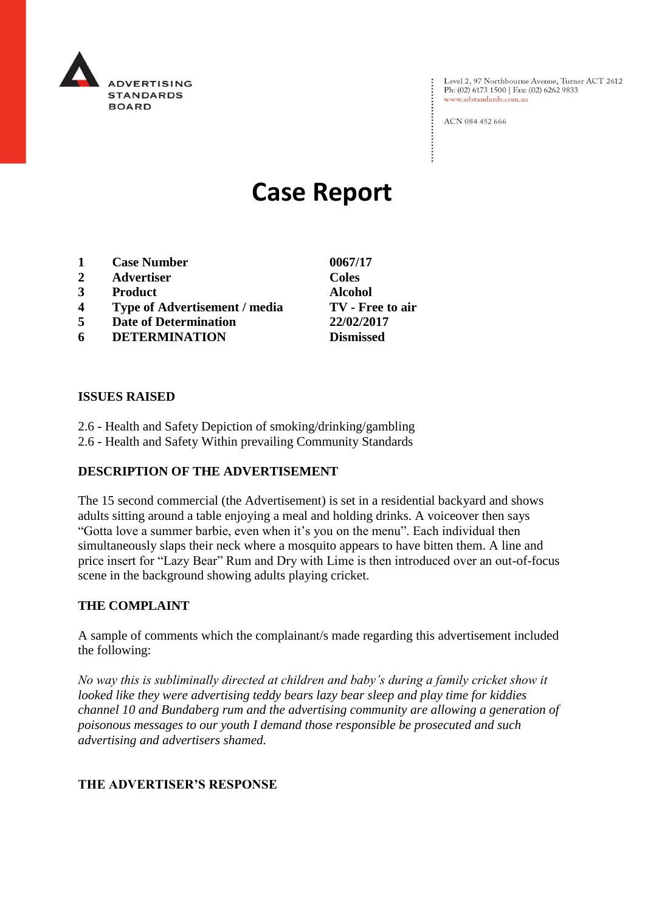

Level 2, 97 Northbourne Avenue, Turner ACT 2612<br>Ph: (02) 6173 1500 | Fax: (02) 6262 9833 www.adstandards.com.au

ACN 084 452 666

# **Case Report**

- **1 Case Number 0067/17**
- **2 Advertiser Coles**
- **3 Product Alcohol**
- **4 Type of Advertisement / media TV - Free to air**
- **5 Date of Determination 22/02/2017**
- **6 DETERMINATION Dismissed**

**ISSUES RAISED**

- 2.6 Health and Safety Depiction of smoking/drinking/gambling
- 2.6 Health and Safety Within prevailing Community Standards

## **DESCRIPTION OF THE ADVERTISEMENT**

The 15 second commercial (the Advertisement) is set in a residential backyard and shows adults sitting around a table enjoying a meal and holding drinks. A voiceover then says "Gotta love a summer barbie, even when it's you on the menu". Each individual then simultaneously slaps their neck where a mosquito appears to have bitten them. A line and price insert for "Lazy Bear" Rum and Dry with Lime is then introduced over an out-of-focus scene in the background showing adults playing cricket.

#### **THE COMPLAINT**

A sample of comments which the complainant/s made regarding this advertisement included the following:

*No way this is subliminally directed at children and baby's during a family cricket show it looked like they were advertising teddy bears lazy bear sleep and play time for kiddies channel 10 and Bundaberg rum and the advertising community are allowing a generation of poisonous messages to our youth I demand those responsible be prosecuted and such advertising and advertisers shamed.*

## **THE ADVERTISER'S RESPONSE**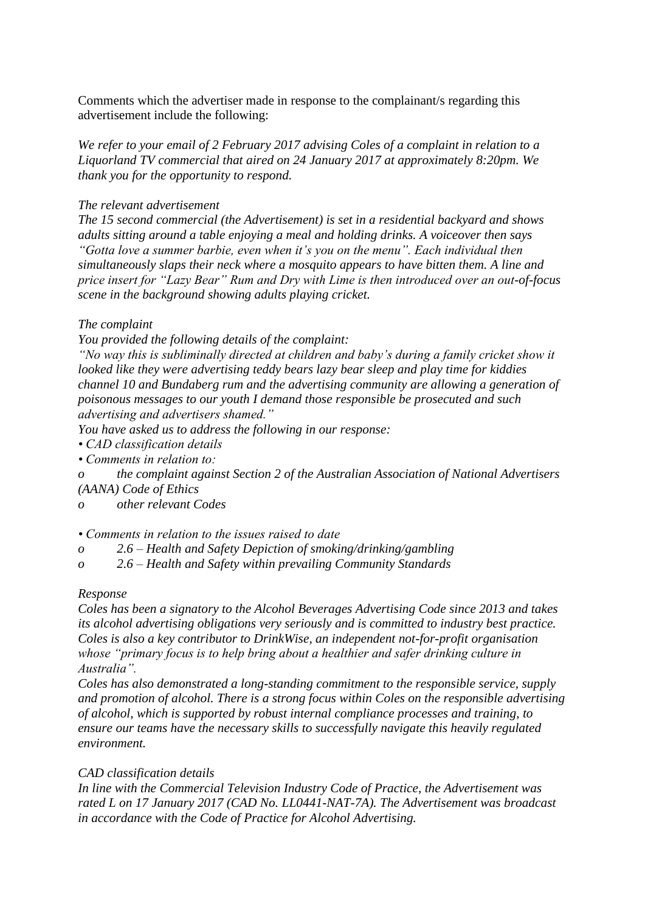Comments which the advertiser made in response to the complainant/s regarding this advertisement include the following:

*We refer to your email of 2 February 2017 advising Coles of a complaint in relation to a Liquorland TV commercial that aired on 24 January 2017 at approximately 8:20pm. We thank you for the opportunity to respond.*

#### *The relevant advertisement*

*The 15 second commercial (the Advertisement) is set in a residential backyard and shows adults sitting around a table enjoying a meal and holding drinks. A voiceover then says "Gotta love a summer barbie, even when it's you on the menu". Each individual then simultaneously slaps their neck where a mosquito appears to have bitten them. A line and price insert for "Lazy Bear" Rum and Dry with Lime is then introduced over an out-of-focus scene in the background showing adults playing cricket.*

#### *The complaint*

*You provided the following details of the complaint:*

*"No way this is subliminally directed at children and baby's during a family cricket show it looked like they were advertising teddy bears lazy bear sleep and play time for kiddies channel 10 and Bundaberg rum and the advertising community are allowing a generation of poisonous messages to our youth I demand those responsible be prosecuted and such advertising and advertisers shamed."*

*You have asked us to address the following in our response:*

*• CAD classification details*

*• Comments in relation to:*

*o the complaint against Section 2 of the Australian Association of National Advertisers (AANA) Code of Ethics*

*o other relevant Codes*

#### *• Comments in relation to the issues raised to date*

- *o 2.6 – Health and Safety Depiction of smoking/drinking/gambling*
- *o 2.6 – Health and Safety within prevailing Community Standards*

#### *Response*

*Coles has been a signatory to the Alcohol Beverages Advertising Code since 2013 and takes its alcohol advertising obligations very seriously and is committed to industry best practice. Coles is also a key contributor to DrinkWise, an independent not-for-profit organisation whose "primary focus is to help bring about a healthier and safer drinking culture in Australia".*

*Coles has also demonstrated a long-standing commitment to the responsible service, supply and promotion of alcohol. There is a strong focus within Coles on the responsible advertising of alcohol, which is supported by robust internal compliance processes and training, to ensure our teams have the necessary skills to successfully navigate this heavily regulated environment.*

#### *CAD classification details*

*In line with the Commercial Television Industry Code of Practice, the Advertisement was rated L on 17 January 2017 (CAD No. LL0441-NAT-7A). The Advertisement was broadcast in accordance with the Code of Practice for Alcohol Advertising.*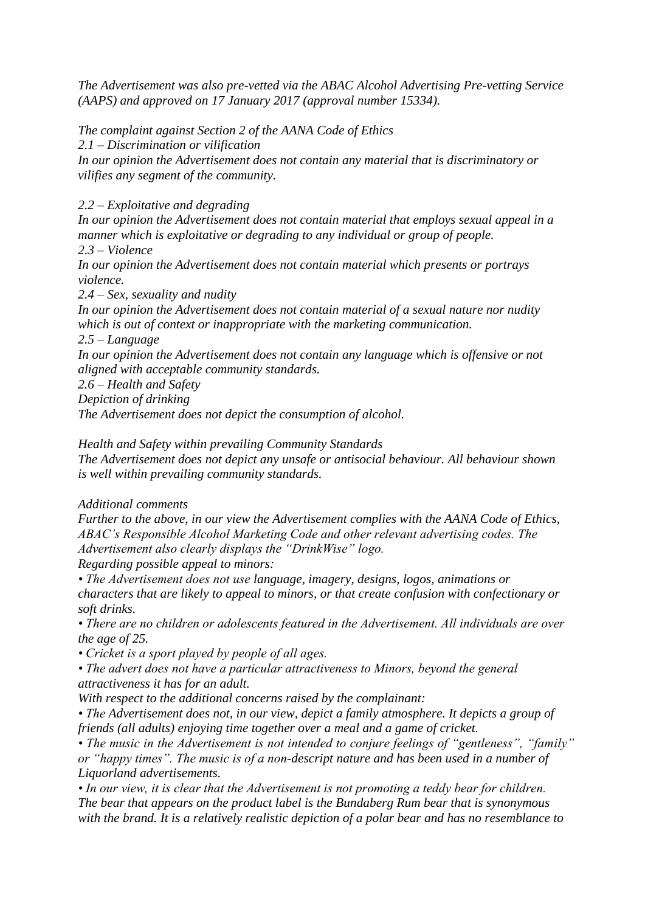*The Advertisement was also pre-vetted via the ABAC Alcohol Advertising Pre-vetting Service (AAPS) and approved on 17 January 2017 (approval number 15334).*

*The complaint against Section 2 of the AANA Code of Ethics*

*2.1 – Discrimination or vilification*

*In our opinion the Advertisement does not contain any material that is discriminatory or vilifies any segment of the community.*

*2.2 – Exploitative and degrading*

*In our opinion the Advertisement does not contain material that employs sexual appeal in a manner which is exploitative or degrading to any individual or group of people. 2.3 – Violence*

*In our opinion the Advertisement does not contain material which presents or portrays violence.*

*2.4 – Sex, sexuality and nudity*

*In our opinion the Advertisement does not contain material of a sexual nature nor nudity which is out of context or inappropriate with the marketing communication.*

*2.5 – Language*

*In our opinion the Advertisement does not contain any language which is offensive or not aligned with acceptable community standards.*

*2.6 – Health and Safety*

*Depiction of drinking*

*The Advertisement does not depict the consumption of alcohol.*

*Health and Safety within prevailing Community Standards*

*The Advertisement does not depict any unsafe or antisocial behaviour. All behaviour shown is well within prevailing community standards.*

*Additional comments*

*Further to the above, in our view the Advertisement complies with the AANA Code of Ethics, ABAC's Responsible Alcohol Marketing Code and other relevant advertising codes. The Advertisement also clearly displays the "DrinkWise" logo.*

*Regarding possible appeal to minors:*

*• The Advertisement does not use language, imagery, designs, logos, animations or characters that are likely to appeal to minors, or that create confusion with confectionary or soft drinks.*

*• There are no children or adolescents featured in the Advertisement. All individuals are over the age of 25.*

*• Cricket is a sport played by people of all ages.*

*• The advert does not have a particular attractiveness to Minors, beyond the general attractiveness it has for an adult.*

*With respect to the additional concerns raised by the complainant:*

*• The Advertisement does not, in our view, depict a family atmosphere. It depicts a group of friends (all adults) enjoying time together over a meal and a game of cricket.*

*• The music in the Advertisement is not intended to conjure feelings of "gentleness", "family" or "happy times". The music is of a non-descript nature and has been used in a number of Liquorland advertisements.*

*• In our view, it is clear that the Advertisement is not promoting a teddy bear for children. The bear that appears on the product label is the Bundaberg Rum bear that is synonymous with the brand. It is a relatively realistic depiction of a polar bear and has no resemblance to*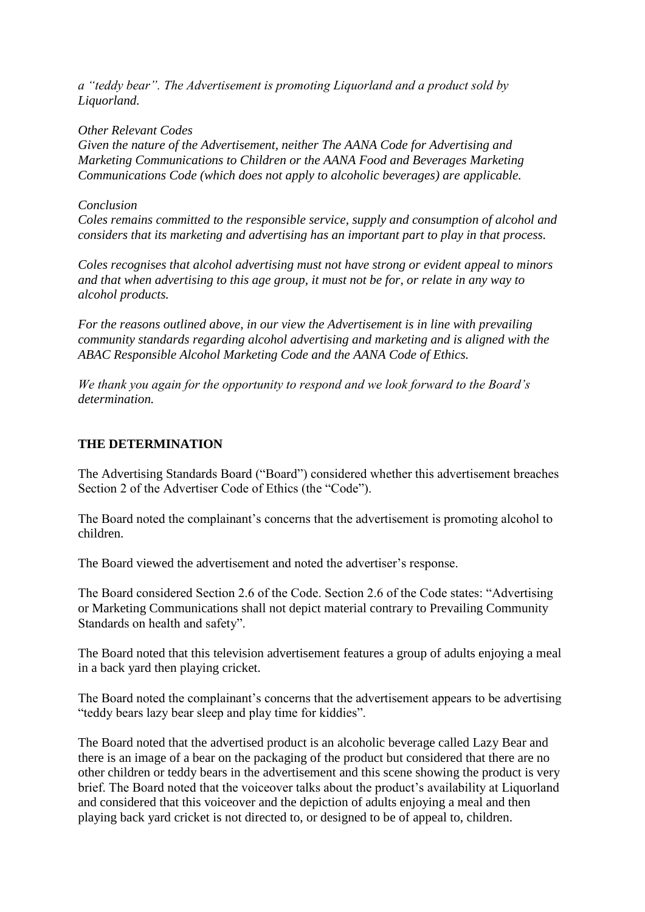*a "teddy bear". The Advertisement is promoting Liquorland and a product sold by Liquorland.*

*Other Relevant Codes*

*Given the nature of the Advertisement, neither The AANA Code for Advertising and Marketing Communications to Children or the AANA Food and Beverages Marketing Communications Code (which does not apply to alcoholic beverages) are applicable.*

### *Conclusion*

*Coles remains committed to the responsible service, supply and consumption of alcohol and considers that its marketing and advertising has an important part to play in that process.*

*Coles recognises that alcohol advertising must not have strong or evident appeal to minors and that when advertising to this age group, it must not be for, or relate in any way to alcohol products.*

*For the reasons outlined above, in our view the Advertisement is in line with prevailing community standards regarding alcohol advertising and marketing and is aligned with the ABAC Responsible Alcohol Marketing Code and the AANA Code of Ethics.*

*We thank you again for the opportunity to respond and we look forward to the Board's determination.*

## **THE DETERMINATION**

The Advertising Standards Board ("Board") considered whether this advertisement breaches Section 2 of the Advertiser Code of Ethics (the "Code").

The Board noted the complainant's concerns that the advertisement is promoting alcohol to children.

The Board viewed the advertisement and noted the advertiser's response.

The Board considered Section 2.6 of the Code. Section 2.6 of the Code states: "Advertising or Marketing Communications shall not depict material contrary to Prevailing Community Standards on health and safety".

The Board noted that this television advertisement features a group of adults enjoying a meal in a back yard then playing cricket.

The Board noted the complainant's concerns that the advertisement appears to be advertising "teddy bears lazy bear sleep and play time for kiddies".

The Board noted that the advertised product is an alcoholic beverage called Lazy Bear and there is an image of a bear on the packaging of the product but considered that there are no other children or teddy bears in the advertisement and this scene showing the product is very brief. The Board noted that the voiceover talks about the product's availability at Liquorland and considered that this voiceover and the depiction of adults enjoying a meal and then playing back yard cricket is not directed to, or designed to be of appeal to, children.